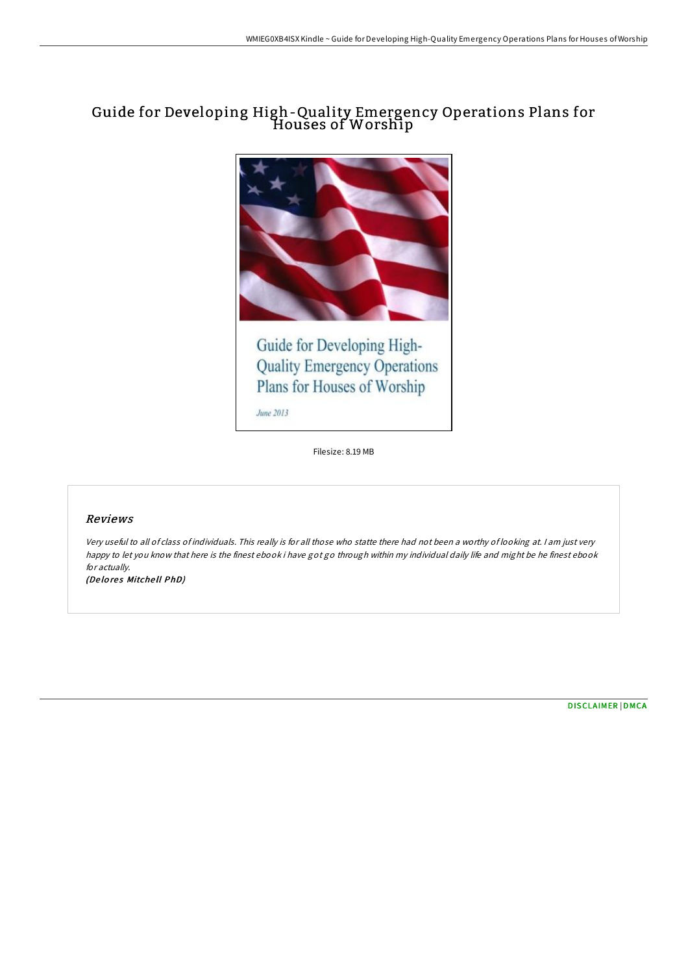# Guide for Developing High-Quality Emergency Operations Plans for Houses of Worship



June 2013

Filesize: 8.19 MB

### Reviews

Very useful to all of class of individuals. This really is for all those who statte there had not been <sup>a</sup> worthy of looking at. <sup>I</sup> am just very happy to let you know that here is the finest ebook i have got go through within my individual daily life and might be he finest ebook for actually.

(Delores Mitchell PhD)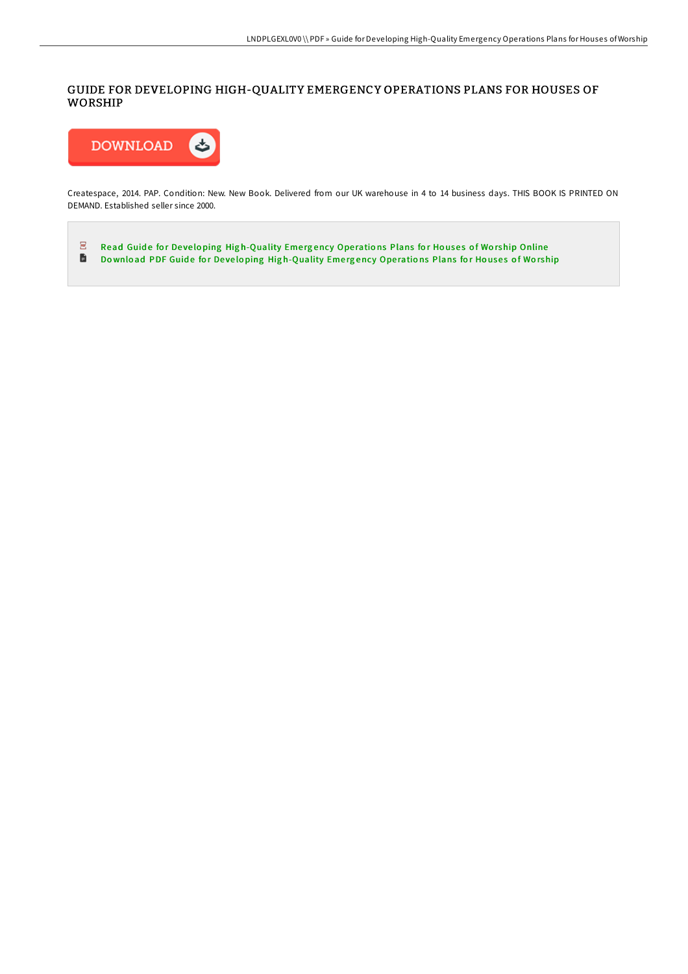## GUIDE FOR DEVELOPING HIGH-QUALITY EMERGENCY OPERATIONS PLANS FOR HOUSES OF WORSHIP



Createspace, 2014. PAP. Condition: New. New Book. Delivered from our UK warehouse in 4 to 14 business days. THIS BOOK IS PRINTED ON DEMAND. Established seller since 2000.

 $\overline{\underline{\mathrm{pos}}}$ Read Guide for Developing Hig[h-Quality](http://almighty24.tech/guide-for-developing-high-quality-emergency-oper-2.html) Emergency Operations Plans for Houses of Worship Online  $\blacksquare$ Download PDF Guide for Developing Hig[h-Quality](http://almighty24.tech/guide-for-developing-high-quality-emergency-oper-2.html) Emergency Operations Plans for Houses of Worship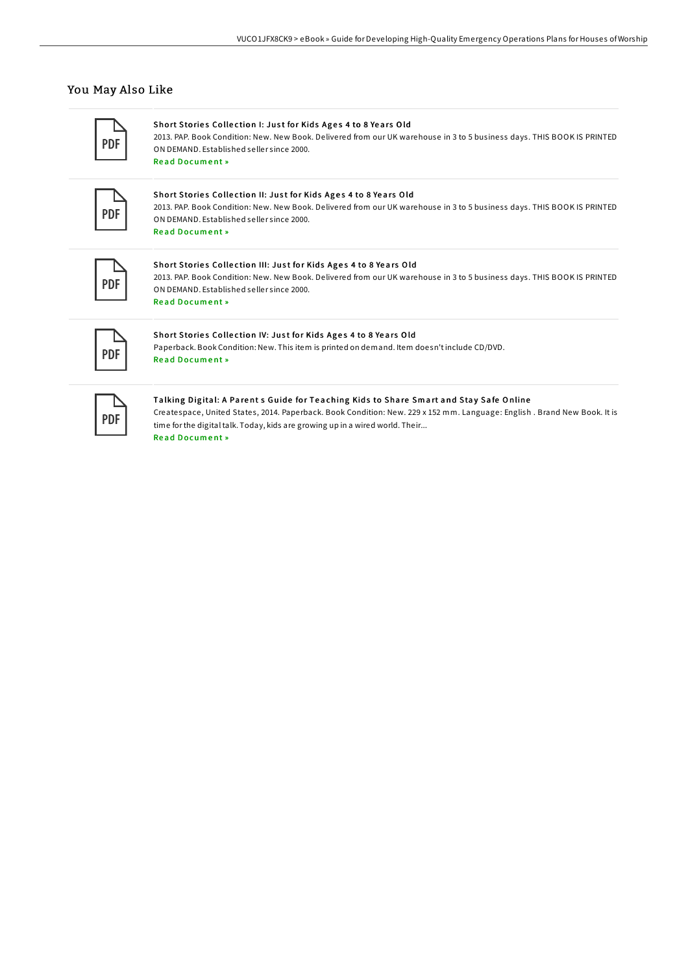### You May Also Like

Short Stories Collection I: Just for Kids Ages 4 to 8 Years Old 2013. PAP. Book Condition: New. New Book. Delivered from our UK warehouse in 3 to 5 business days. THIS BOOK IS PRINTED ON DEMAND. Established seller since 2000.

Read [Docum](http://almighty24.tech/short-stories-collection-i-just-for-kids-ages-4-.html)ent »

#### Short Stories Collection II: Just for Kids Ages 4 to 8 Years Old

2013. PAP. Book Condition: New. New Book. Delivered from our UK warehouse in 3 to 5 business days. THIS BOOK IS PRINTED ON DEMAND. Established seller since 2000. Re a d [Docum](http://almighty24.tech/short-stories-collection-ii-just-for-kids-ages-4.html) e nt »

#### Short Stories Collection III: Just for Kids Ages 4 to 8 Years Old

2013. PAP. Book Condition: New. New Book. Delivered from our UK warehouse in 3 to 5 business days. THIS BOOK IS PRINTED ON DEMAND. Established seller since 2000. Read [Docum](http://almighty24.tech/short-stories-collection-iii-just-for-kids-ages-.html)ent »

### Short Stories Collection IV: Just for Kids Ages 4 to 8 Years Old

Paperback. Book Condition: New. This item is printed on demand. Item doesn'tinclude CD/DVD. Read [Docum](http://almighty24.tech/short-stories-collection-iv-just-for-kids-ages-4.html)ent »

## Talking Digital: A Parents Guide for Teaching Kids to Share Smart and Stay Safe Online

Createspace, United States, 2014. Paperback. Book Condition: New. 229 x 152 mm. Language: English . Brand New Book. It is time for the digital talk. Today, kids are growing up in a wired world. Their...

Read [Docum](http://almighty24.tech/talking-digital-a-parent-s-guide-for-teaching-ki.html)ent »